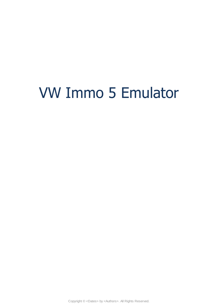# VW Immo 5 Emulator

Copyright © <Dates> by <Authors>. All Rights Reserved.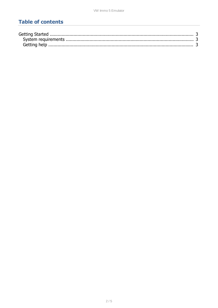## **Table of contents**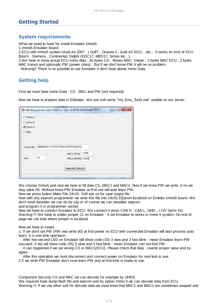## <span id="page-2-0"></span>**Getting Started**

### <span id="page-2-1"></span>**System requirements**

What we need to have for install Emulator Immo5:

1.Immo5 Emulator Board

2.ECU with Immo5 system (Audi A4 2007...) Golf7 , Octavia 3 , Audi A3 2012... etc... It works on kind of ECU Bosch , Siemens , Continental, Delphi (EDC17, MED17, Simos etc...)

3.We have to know actual ECU immo data : 16 bytes CS , 4bytes MAC (mean : 2 bytes MAC ECU , 2 bytes MAC Immo) and optionally PW (power class) . But if we don't know PW it will ne no problem.

Warning!! There is no possible to use Emulator if don't have above Immo Data.

## <span id="page-2-2"></span>**Getting help**

First we must have Immo Data : CS , MAC and PW (not required).

Now we have to prepare data in EMulator. We use soft name "Vw\_Emu\_Tool1.exe" aviable on our server.

|             | $\mathbf x$<br>$\Box$<br>VW Group Immo 3/4/5 ,PSA Emu Tool v3.10 09.2019 Smok<br>$\overline{\phantom{0}}$ |
|-------------|-----------------------------------------------------------------------------------------------------------|
| Immo 3<br>∈ |                                                                                                           |
| Immo 4      |                                                                                                           |
| $Q$ Immo 5  |                                                                                                           |
| <b>PSA</b>  |                                                                                                           |
|             | Comp.Sec 38B83D2C71707CE7F81139CFF005A723                                                                 |
|             | 4F95<br>MAC1 (ECU)                                                                                        |
| PW          | 00<br>MAC2 (Immo) 3918                                                                                    |
|             | Make File (24c02)                                                                                         |
|             | $-11$                                                                                                     |

We choose Immo5 and next we have to fill data CS, MAC1 and MAC2. Now if we know PW we write ,if no we stay value 00. Without know PW Emulator at first use will auto learn PW.

Now we press button Make File 24c02. Soft ask us for save output file.

Now with any eeprom programmer we write this file into 24c02 EEprom localized on Emlator Immo5 board. We don't need desolder we can do by clip or of course we can desolder eeprom

and program it in programmer socket.

Now we have to connect Emulator to ECU. We connect 4 wires CAN H , CAN L, GND , +12V (term 15). Warning !!! We have to solder jumper J1 on Emulator - it set Emulator to works in Immo 5 system. On end of page we can look where jumper is localized.

Now we have to cases :

1. If we don't set PW (PW was write 00) at first power on ECU with connected Emulator will start process auto learn. It is one time operation.

 After few second LED on Emulator will show code (33) 3 slow and 3 fast blink - mean Emulator learn PW succeed. If led will show code (55) 5 slow and 5 fast blink - mean Emulator can not find PW.

 it can happened if we set wrong CS or MAC1(ECU). Please check that data , rewrite proper value and try again.

After this operation we must disconnect and connect power on Emulator for next test or use.

2.if we write PW Emulator don't must learn PW and at first time is ready to use.

Component Security CS and MAC we can decode for example by UHDS.

We required have dump flash file and eeprom and by option Immo 5 we can decode data from ECU. Warning !!! If we use other soft for decode data we must know that MAC1 and MAC2 are sometimes swaped and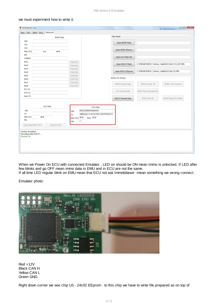#### we must experiment how to write it.

| BCM2 Data                                                                                   |                                                                                                                                             | <b>Files Panel</b>      |                                                                         |                        |
|---------------------------------------------------------------------------------------------|---------------------------------------------------------------------------------------------------------------------------------------------|-------------------------|-------------------------------------------------------------------------|------------------------|
| VIN                                                                                         |                                                                                                                                             | Open BCM2 Flash         |                                                                         |                        |
| CS <sub>1</sub>                                                                             |                                                                                                                                             |                         |                                                                         |                        |
| CS2                                                                                         |                                                                                                                                             | Open BCM2 EEprom        |                                                                         |                        |
| ELV<br><b>BCM</b><br>MAC ECU                                                                |                                                                                                                                             |                         |                                                                         |                        |
| PW                                                                                          |                                                                                                                                             | Open ELV Flash File     |                                                                         |                        |
| CONFIG                                                                                      |                                                                                                                                             |                         |                                                                         |                        |
| Key1                                                                                        | Erase key                                                                                                                                   |                         |                                                                         |                        |
| Key2                                                                                        | Erase Key                                                                                                                                   |                         | Open EDC17 Flash<br>C:\Pliki\BCM\BCM_Testowy_Vagtile\ECU\A4_FLS_INT.BIN |                        |
| Key3                                                                                        | Erase Key                                                                                                                                   |                         |                                                                         |                        |
| Key4                                                                                        | Erase Key                                                                                                                                   | Open EDC17 EEprom       | C:\Pliki\BCM\BCM_Testowy_Vagtile\ECU\a4_EE.BIN                          |                        |
| Key <sub>5</sub>                                                                            | Erase Key                                                                                                                                   | Actions by Dumps        |                                                                         |                        |
| Кеуб                                                                                        | Erase Key                                                                                                                                   |                         |                                                                         |                        |
| Key7                                                                                        | Erase Key                                                                                                                                   | <b>BCM2</b> Decode Data | <b>BCM2 Encrypt EE</b>                                                  | BCM2->ELV Synchro      |
| Key8                                                                                        | Erase Key                                                                                                                                   |                         |                                                                         |                        |
| ELV CS                                                                                      |                                                                                                                                             | ELV Decode Data         | BCM2 Save Decrypted EE                                                  |                        |
| ECU CS                                                                                      |                                                                                                                                             |                         |                                                                         |                        |
| Gear CS                                                                                     |                                                                                                                                             | EDC17 Decode Data       | <b>BCM2 Save EE</b>                                                     | BCM2 Repair ELV Maluf. |
| ELV Data<br>VIN<br><b>CS</b><br><b>BCM</b><br><b>MAC ELV</b><br>PW                          | <b>ECU Data</b><br>WAUZZZ8R9AA06XXXX<br>VIN<br>38B83D2C71707CE7F81139CFF005A723<br><b>CS</b><br>MAC ECU 4F95<br><b>BCM 3918</b><br>7?<br>PW |                         |                                                                         |                        |
| Copy Data BCM->ELV<br>Save ELV File<br>License Accepted<br>Decoding Data EDC17<br>Decode Ok |                                                                                                                                             |                         |                                                                         |                        |

When we Power On ECU with connected Emulator , LED on should be ON mean Immo is unlocked. If LED after few blinks and go OFF mean immo data in EMU and in ECU are not the same.

If all time LED regular blink on EMU mean that ECU not ask Immobilaiser -mean something we wrong connect .

Emulator photo:

| Rev. A1 16032018<br>CAN EMU RH<br>ol 15<br>,,,,,,,,,,,,, |  |
|----------------------------------------------------------|--|
| <br>÷<br>$\bullet$<br><b>Mand</b><br>罡                   |  |
| ።<br><b>STATE</b><br>--<br>--<br>œ<br>--<br>.            |  |
|                                                          |  |

Red +12V Black CAN H Yellow CAN L Green GND.

Right down corner we see chip U3 - 24c02 EEprom . to this chip we have to write file prepared as on top of